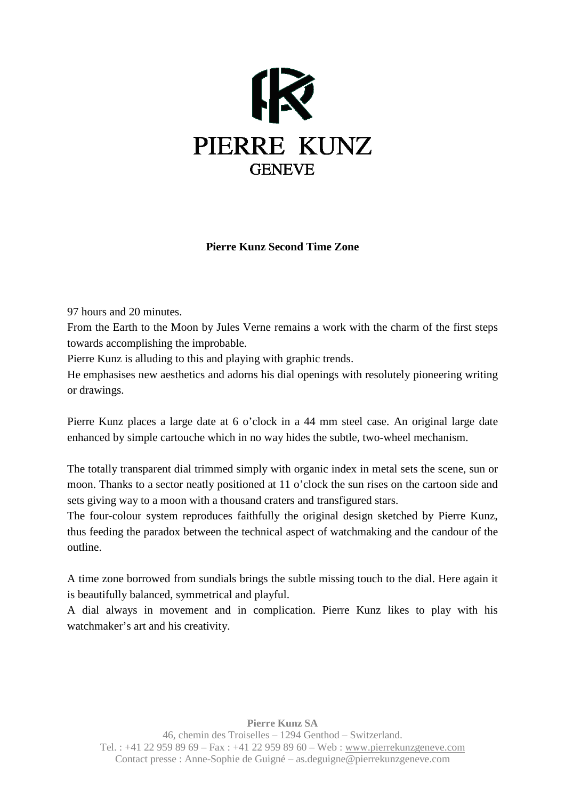

## **Pierre Kunz Second Time Zone**

97 hours and 20 minutes.

From the Earth to the Moon by Jules Verne remains a work with the charm of the first steps towards accomplishing the improbable.

Pierre Kunz is alluding to this and playing with graphic trends.

He emphasises new aesthetics and adorns his dial openings with resolutely pioneering writing or drawings.

Pierre Kunz places a large date at 6 o'clock in a 44 mm steel case. An original large date enhanced by simple cartouche which in no way hides the subtle, two-wheel mechanism.

The totally transparent dial trimmed simply with organic index in metal sets the scene, sun or moon. Thanks to a sector neatly positioned at 11 o'clock the sun rises on the cartoon side and sets giving way to a moon with a thousand craters and transfigured stars.

The four-colour system reproduces faithfully the original design sketched by Pierre Kunz, thus feeding the paradox between the technical aspect of watchmaking and the candour of the outline.

A time zone borrowed from sundials brings the subtle missing touch to the dial. Here again it is beautifully balanced, symmetrical and playful.

A dial always in movement and in complication. Pierre Kunz likes to play with his watchmaker's art and his creativity.